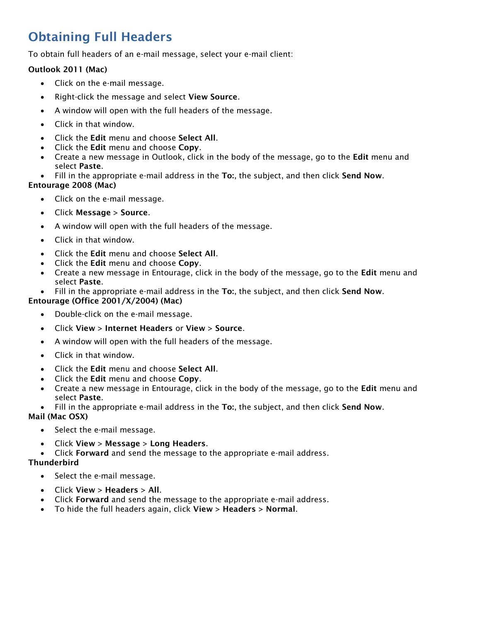# Obtaining Full Headers

To obtain full headers of an e-mail message, select your e-mail client:

# Outlook 2011 (Mac)

- Click on the e-mail message.
- Right-click the message and select View Source.
- A window will open with the full headers of the message.
- Click in that window.
- Click the Edit menu and choose Select All.
- Click the Edit menu and choose Copy.
- Create a new message in Outlook, click in the body of the message, go to the Edit menu and select Paste.
- Fill in the appropriate e-mail address in the To:, the subject, and then click Send Now.

#### Entourage 2008 (Mac)

- Click on the e-mail message.
- Click Message > Source.
- A window will open with the full headers of the message.
- Click in that window.
- Click the Edit menu and choose Select All.
- Click the Edit menu and choose Copy.
- Create a new message in Entourage, click in the body of the message, go to the **Edit** menu and select Paste.
- Fill in the appropriate e-mail address in the To:, the subject, and then click Send Now.

### Entourage (Office 2001/X/2004) (Mac)

- Double-click on the e-mail message.
- Click View > Internet Headers or View > Source.
- A window will open with the full headers of the message.
- Click in that window.
- Click the Edit menu and choose Select All.
- Click the Edit menu and choose Copy.
- Create a new message in Entourage, click in the body of the message, go to the Edit menu and select Paste.
- Fill in the appropriate e-mail address in the To:, the subject, and then click Send Now.

# Mail (Mac OSX)

- Select the e-mail message.
- Click View  $>$  Message  $>$  Long Headers.
- Click Forward and send the message to the appropriate e-mail address.

# **Thunderbird**

- Select the e-mail message.
- $\bullet$  Click View > Headers > All.
- Click Forward and send the message to the appropriate e-mail address.
- To hide the full headers again, click View > Headers > Normal.